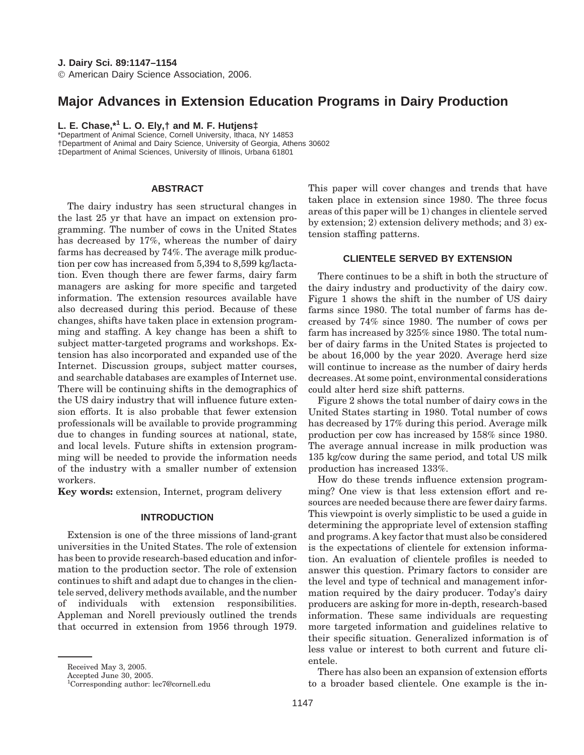# **Major Advances in Extension Education Programs in Dairy Production**

**L. E. Chase,\*<sup>1</sup> L. O. Ely,† and M. F. Hutjens‡** \*Department of Animal Science, Cornell University, Ithaca, NY 14853 †Department of Animal and Dairy Science, University of Georgia, Athens 30602 ‡Department of Animal Sciences, University of Illinois, Urbana 61801

# **ABSTRACT**

The dairy industry has seen structural changes in the last 25 yr that have an impact on extension programming. The number of cows in the United States has decreased by 17%, whereas the number of dairy farms has decreased by 74%. The average milk production per cow has increased from 5,394 to 8,599 kg/lactation. Even though there are fewer farms, dairy farm managers are asking for more specific and targeted information. The extension resources available have also decreased during this period. Because of these changes, shifts have taken place in extension programming and staffing. A key change has been a shift to subject matter-targeted programs and workshops. Extension has also incorporated and expanded use of the Internet. Discussion groups, subject matter courses, and searchable databases are examples of Internet use. There will be continuing shifts in the demographics of the US dairy industry that will influence future extension efforts. It is also probable that fewer extension professionals will be available to provide programming due to changes in funding sources at national, state, and local levels. Future shifts in extension programming will be needed to provide the information needs of the industry with a smaller number of extension workers.

**Key words:** extension, Internet, program delivery

# **INTRODUCTION**

Extension is one of the three missions of land-grant universities in the United States. The role of extension has been to provide research-based education and information to the production sector. The role of extension continues to shift and adapt due to changes in the clientele served, delivery methods available, and the number of individuals with extension responsibilities. Appleman and Norell previously outlined the trends that occurred in extension from 1956 through 1979.

Accepted June 30, 2005.

This paper will cover changes and trends that have taken place in extension since 1980. The three focus areas of this paper will be 1) changes in clientele served by extension; 2) extension delivery methods; and 3) extension staffing patterns.

# **CLIENTELE SERVED BY EXTENSION**

There continues to be a shift in both the structure of the dairy industry and productivity of the dairy cow. Figure 1 shows the shift in the number of US dairy farms since 1980. The total number of farms has decreased by 74% since 1980. The number of cows per farm has increased by 325% since 1980. The total number of dairy farms in the United States is projected to be about 16,000 by the year 2020. Average herd size will continue to increase as the number of dairy herds decreases. At some point, environmental considerations could alter herd size shift patterns.

Figure 2 shows the total number of dairy cows in the United States starting in 1980. Total number of cows has decreased by 17% during this period. Average milk production per cow has increased by 158% since 1980. The average annual increase in milk production was 135 kg/cow during the same period, and total US milk production has increased 133%.

How do these trends influence extension programming? One view is that less extension effort and resources are needed because there are fewer dairy farms. This viewpoint is overly simplistic to be used a guide in determining the appropriate level of extension staffing and programs. A key factor that must also be considered is the expectations of clientele for extension information. An evaluation of clientele profiles is needed to answer this question. Primary factors to consider are the level and type of technical and management information required by the dairy producer. Today's dairy producers are asking for more in-depth, research-based information. These same individuals are requesting more targeted information and guidelines relative to their specific situation. Generalized information is of less value or interest to both current and future clientele.

There has also been an expansion of extension efforts to a broader based clientele. One example is the in-

Received May 3, 2005.

<sup>1</sup> Corresponding author: lec7@cornell.edu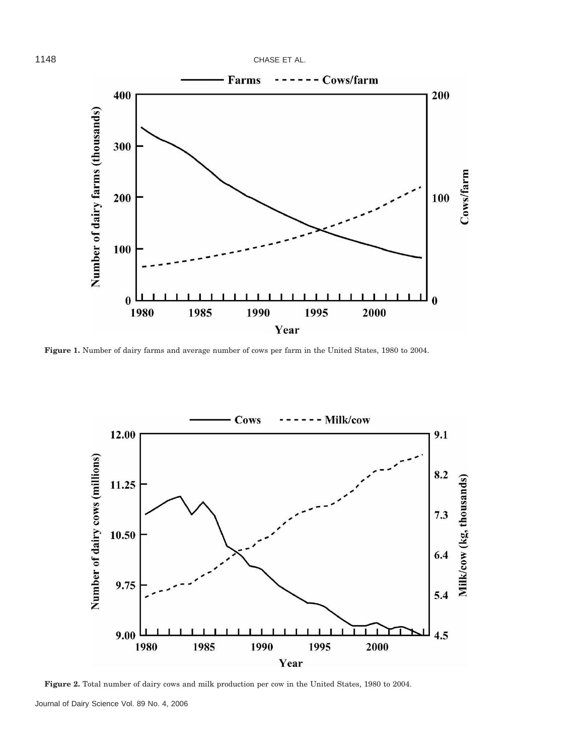

**Figure 1.** Number of dairy farms and average number of cows per farm in the United States, 1980 to 2004.



**Figure 2.** Total number of dairy cows and milk production per cow in the United States, 1980 to 2004.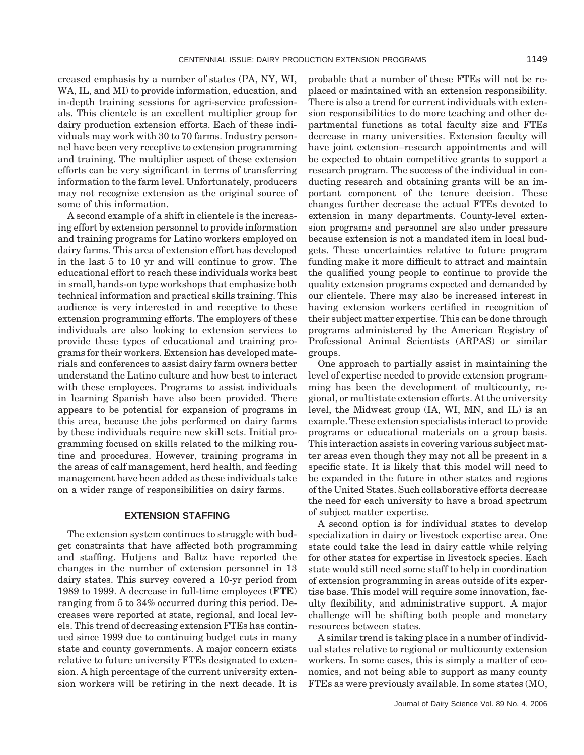creased emphasis by a number of states (PA, NY, WI, WA, IL, and MI) to provide information, education, and in-depth training sessions for agri-service professionals. This clientele is an excellent multiplier group for dairy production extension efforts. Each of these individuals may work with 30 to 70 farms. Industry personnel have been very receptive to extension programming and training. The multiplier aspect of these extension efforts can be very significant in terms of transferring information to the farm level. Unfortunately, producers may not recognize extension as the original source of some of this information.

A second example of a shift in clientele is the increasing effort by extension personnel to provide information and training programs for Latino workers employed on dairy farms. This area of extension effort has developed in the last 5 to 10 yr and will continue to grow. The educational effort to reach these individuals works best in small, hands-on type workshops that emphasize both technical information and practical skills training. This audience is very interested in and receptive to these extension programming efforts. The employers of these individuals are also looking to extension services to provide these types of educational and training programs for their workers. Extension has developed materials and conferences to assist dairy farm owners better understand the Latino culture and how best to interact with these employees. Programs to assist individuals in learning Spanish have also been provided. There appears to be potential for expansion of programs in this area, because the jobs performed on dairy farms by these individuals require new skill sets. Initial programming focused on skills related to the milking routine and procedures. However, training programs in the areas of calf management, herd health, and feeding management have been added as these individuals take on a wider range of responsibilities on dairy farms.

## **EXTENSION STAFFING**

The extension system continues to struggle with budget constraints that have affected both programming and staffing. Hutjens and Baltz have reported the changes in the number of extension personnel in 13 dairy states. This survey covered a 10-yr period from 1989 to 1999. A decrease in full-time employees (**FTE**) ranging from 5 to 34% occurred during this period. Decreases were reported at state, regional, and local levels. This trend of decreasing extension FTEs has continued since 1999 due to continuing budget cuts in many state and county governments. A major concern exists relative to future university FTEs designated to extension. A high percentage of the current university extension workers will be retiring in the next decade. It is probable that a number of these FTEs will not be replaced or maintained with an extension responsibility. There is also a trend for current individuals with extension responsibilities to do more teaching and other departmental functions as total faculty size and FTEs decrease in many universities. Extension faculty will have joint extension–research appointments and will be expected to obtain competitive grants to support a research program. The success of the individual in conducting research and obtaining grants will be an important component of the tenure decision. These changes further decrease the actual FTEs devoted to extension in many departments. County-level extension programs and personnel are also under pressure because extension is not a mandated item in local budgets. These uncertainties relative to future program funding make it more difficult to attract and maintain the qualified young people to continue to provide the quality extension programs expected and demanded by our clientele. There may also be increased interest in having extension workers certified in recognition of their subject matter expertise. This can be done through programs administered by the American Registry of Professional Animal Scientists (ARPAS) or similar groups.

One approach to partially assist in maintaining the level of expertise needed to provide extension programming has been the development of multicounty, regional, or multistate extension efforts. At the university level, the Midwest group (IA, WI, MN, and IL) is an example. These extension specialists interact to provide programs or educational materials on a group basis. This interaction assists in covering various subject matter areas even though they may not all be present in a specific state. It is likely that this model will need to be expanded in the future in other states and regions of the United States. Such collaborative efforts decrease the need for each university to have a broad spectrum of subject matter expertise.

A second option is for individual states to develop specialization in dairy or livestock expertise area. One state could take the lead in dairy cattle while relying for other states for expertise in livestock species. Each state would still need some staff to help in coordination of extension programming in areas outside of its expertise base. This model will require some innovation, faculty flexibility, and administrative support. A major challenge will be shifting both people and monetary resources between states.

A similar trend is taking place in a number of individual states relative to regional or multicounty extension workers. In some cases, this is simply a matter of economics, and not being able to support as many county FTEs as were previously available. In some states (MO,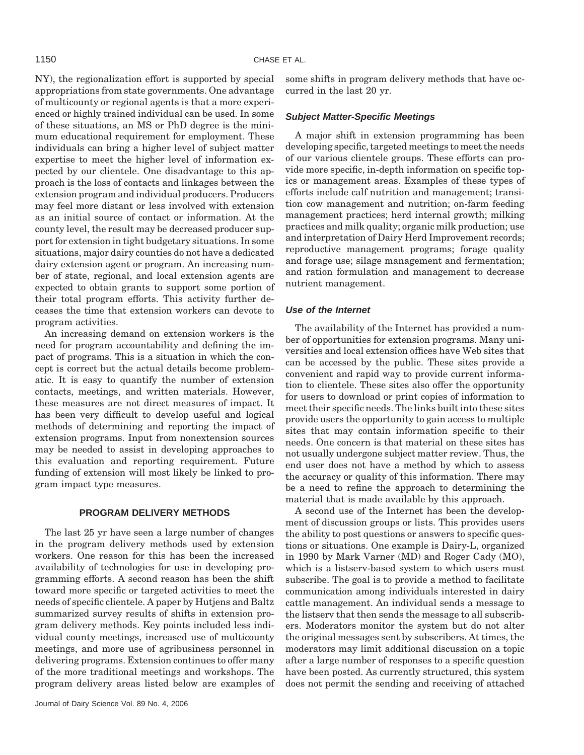NY), the regionalization effort is supported by special appropriations from state governments. One advantage of multicounty or regional agents is that a more experienced or highly trained individual can be used. In some of these situations, an MS or PhD degree is the minimum educational requirement for employment. These individuals can bring a higher level of subject matter expertise to meet the higher level of information expected by our clientele. One disadvantage to this approach is the loss of contacts and linkages between the extension program and individual producers. Producers may feel more distant or less involved with extension as an initial source of contact or information. At the county level, the result may be decreased producer support for extension in tight budgetary situations. In some situations, major dairy counties do not have a dedicated dairy extension agent or program. An increasing number of state, regional, and local extension agents are expected to obtain grants to support some portion of their total program efforts. This activity further deceases the time that extension workers can devote to program activities.

An increasing demand on extension workers is the need for program accountability and defining the impact of programs. This is a situation in which the concept is correct but the actual details become problematic. It is easy to quantify the number of extension contacts, meetings, and written materials. However, these measures are not direct measures of impact. It has been very difficult to develop useful and logical methods of determining and reporting the impact of extension programs. Input from nonextension sources may be needed to assist in developing approaches to this evaluation and reporting requirement. Future funding of extension will most likely be linked to program impact type measures.

# **PROGRAM DELIVERY METHODS**

The last 25 yr have seen a large number of changes in the program delivery methods used by extension workers. One reason for this has been the increased availability of technologies for use in developing programming efforts. A second reason has been the shift toward more specific or targeted activities to meet the needs of specific clientele. A paper by Hutjens and Baltz summarized survey results of shifts in extension program delivery methods. Key points included less individual county meetings, increased use of multicounty meetings, and more use of agribusiness personnel in delivering programs. Extension continues to offer many of the more traditional meetings and workshops. The program delivery areas listed below are examples of some shifts in program delivery methods that have occurred in the last 20 yr.

# *Subject Matter-Specific Meetings*

A major shift in extension programming has been developing specific, targeted meetings to meet the needs of our various clientele groups. These efforts can provide more specific, in-depth information on specific topics or management areas. Examples of these types of efforts include calf nutrition and management; transition cow management and nutrition; on-farm feeding management practices; herd internal growth; milking practices and milk quality; organic milk production; use and interpretation of Dairy Herd Improvement records; reproductive management programs; forage quality and forage use; silage management and fermentation; and ration formulation and management to decrease nutrient management.

# *Use of the Internet*

The availability of the Internet has provided a number of opportunities for extension programs. Many universities and local extension offices have Web sites that can be accessed by the public. These sites provide a convenient and rapid way to provide current information to clientele. These sites also offer the opportunity for users to download or print copies of information to meet their specific needs. The links built into these sites provide users the opportunity to gain access to multiple sites that may contain information specific to their needs. One concern is that material on these sites has not usually undergone subject matter review. Thus, the end user does not have a method by which to assess the accuracy or quality of this information. There may be a need to refine the approach to determining the material that is made available by this approach.

A second use of the Internet has been the development of discussion groups or lists. This provides users the ability to post questions or answers to specific questions or situations. One example is Dairy-L, organized in 1990 by Mark Varner (MD) and Roger Cady (MO), which is a listserv-based system to which users must subscribe. The goal is to provide a method to facilitate communication among individuals interested in dairy cattle management. An individual sends a message to the listserv that then sends the message to all subscribers. Moderators monitor the system but do not alter the original messages sent by subscribers. At times, the moderators may limit additional discussion on a topic after a large number of responses to a specific question have been posted. As currently structured, this system does not permit the sending and receiving of attached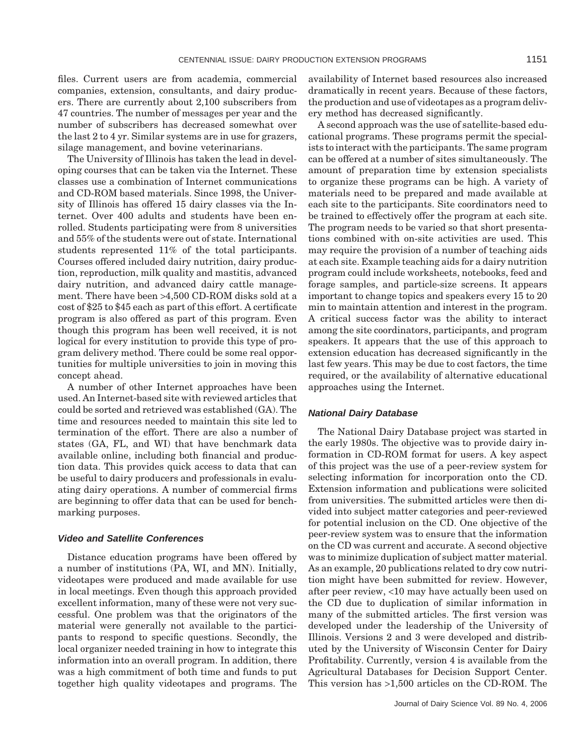files. Current users are from academia, commercial companies, extension, consultants, and dairy producers. There are currently about 2,100 subscribers from 47 countries. The number of messages per year and the number of subscribers has decreased somewhat over the last 2 to 4 yr. Similar systems are in use for grazers, silage management, and bovine veterinarians.

The University of Illinois has taken the lead in developing courses that can be taken via the Internet. These classes use a combination of Internet communications and CD-ROM based materials. Since 1998, the University of Illinois has offered 15 dairy classes via the Internet. Over 400 adults and students have been enrolled. Students participating were from 8 universities and 55% of the students were out of state. International students represented 11% of the total participants. Courses offered included dairy nutrition, dairy production, reproduction, milk quality and mastitis, advanced dairy nutrition, and advanced dairy cattle management. There have been >4,500 CD-ROM disks sold at a cost of \$25 to \$45 each as part of this effort. A certificate program is also offered as part of this program. Even though this program has been well received, it is not logical for every institution to provide this type of program delivery method. There could be some real opportunities for multiple universities to join in moving this concept ahead.

A number of other Internet approaches have been used. An Internet-based site with reviewed articles that could be sorted and retrieved was established (GA). The time and resources needed to maintain this site led to termination of the effort. There are also a number of states (GA, FL, and WI) that have benchmark data available online, including both financial and production data. This provides quick access to data that can be useful to dairy producers and professionals in evaluating dairy operations. A number of commercial firms are beginning to offer data that can be used for benchmarking purposes.

#### *Video and Satellite Conferences*

Distance education programs have been offered by a number of institutions (PA, WI, and MN). Initially, videotapes were produced and made available for use in local meetings. Even though this approach provided excellent information, many of these were not very successful. One problem was that the originators of the material were generally not available to the participants to respond to specific questions. Secondly, the local organizer needed training in how to integrate this information into an overall program. In addition, there was a high commitment of both time and funds to put together high quality videotapes and programs. The availability of Internet based resources also increased dramatically in recent years. Because of these factors, the production and use of videotapes as a program delivery method has decreased significantly.

A second approach was the use of satellite-based educational programs. These programs permit the specialists to interact with the participants. The same program can be offered at a number of sites simultaneously. The amount of preparation time by extension specialists to organize these programs can be high. A variety of materials need to be prepared and made available at each site to the participants. Site coordinators need to be trained to effectively offer the program at each site. The program needs to be varied so that short presentations combined with on-site activities are used. This may require the provision of a number of teaching aids at each site. Example teaching aids for a dairy nutrition program could include worksheets, notebooks, feed and forage samples, and particle-size screens. It appears important to change topics and speakers every 15 to 20 min to maintain attention and interest in the program. A critical success factor was the ability to interact among the site coordinators, participants, and program speakers. It appears that the use of this approach to extension education has decreased significantly in the last few years. This may be due to cost factors, the time required, or the availability of alternative educational approaches using the Internet.

## *National Dairy Database*

The National Dairy Database project was started in the early 1980s. The objective was to provide dairy information in CD-ROM format for users. A key aspect of this project was the use of a peer-review system for selecting information for incorporation onto the CD. Extension information and publications were solicited from universities. The submitted articles were then divided into subject matter categories and peer-reviewed for potential inclusion on the CD. One objective of the peer-review system was to ensure that the information on the CD was current and accurate. A second objective was to minimize duplication of subject matter material. As an example, 20 publications related to dry cow nutrition might have been submitted for review. However, after peer review, <10 may have actually been used on the CD due to duplication of similar information in many of the submitted articles. The first version was developed under the leadership of the University of Illinois. Versions 2 and 3 were developed and distributed by the University of Wisconsin Center for Dairy Profitability. Currently, version 4 is available from the Agricultural Databases for Decision Support Center. This version has >1,500 articles on the CD-ROM. The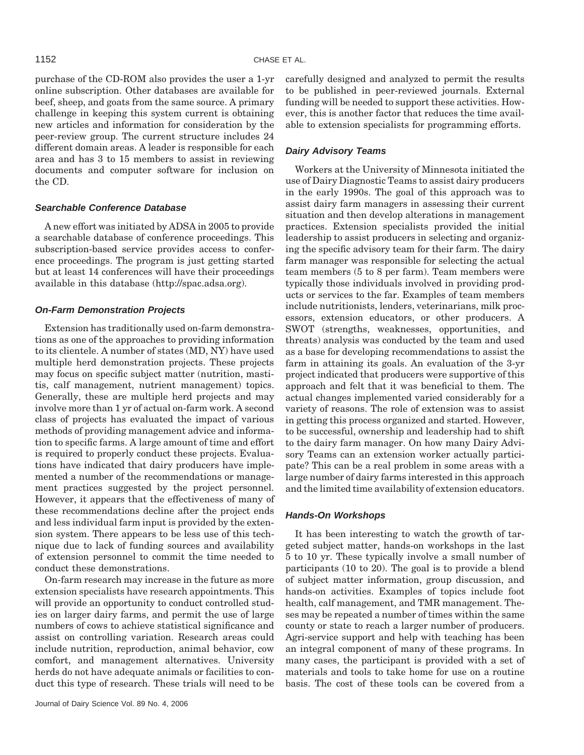purchase of the CD-ROM also provides the user a 1-yr online subscription. Other databases are available for beef, sheep, and goats from the same source. A primary challenge in keeping this system current is obtaining new articles and information for consideration by the peer-review group. The current structure includes 24 different domain areas. A leader is responsible for each area and has 3 to 15 members to assist in reviewing documents and computer software for inclusion on the CD.

## *Searchable Conference Database*

A new effort was initiated by ADSA in 2005 to provide a searchable database of conference proceedings. This subscription-based service provides access to conference proceedings. The program is just getting started but at least 14 conferences will have their proceedings available in this database (http://spac.adsa.org).

### *On-Farm Demonstration Projects*

Extension has traditionally used on-farm demonstrations as one of the approaches to providing information to its clientele. A number of states (MD, NY) have used multiple herd demonstration projects. These projects may focus on specific subject matter (nutrition, mastitis, calf management, nutrient management) topics. Generally, these are multiple herd projects and may involve more than 1 yr of actual on-farm work. A second class of projects has evaluated the impact of various methods of providing management advice and information to specific farms. A large amount of time and effort is required to properly conduct these projects. Evaluations have indicated that dairy producers have implemented a number of the recommendations or management practices suggested by the project personnel. However, it appears that the effectiveness of many of these recommendations decline after the project ends and less individual farm input is provided by the extension system. There appears to be less use of this technique due to lack of funding sources and availability of extension personnel to commit the time needed to conduct these demonstrations.

On-farm research may increase in the future as more extension specialists have research appointments. This will provide an opportunity to conduct controlled studies on larger dairy farms, and permit the use of large numbers of cows to achieve statistical significance and assist on controlling variation. Research areas could include nutrition, reproduction, animal behavior, cow comfort, and management alternatives. University herds do not have adequate animals or facilities to conduct this type of research. These trials will need to be carefully designed and analyzed to permit the results to be published in peer-reviewed journals. External funding will be needed to support these activities. However, this is another factor that reduces the time available to extension specialists for programming efforts.

# *Dairy Advisory Teams*

Workers at the University of Minnesota initiated the use of Dairy Diagnostic Teams to assist dairy producers in the early 1990s. The goal of this approach was to assist dairy farm managers in assessing their current situation and then develop alterations in management practices. Extension specialists provided the initial leadership to assist producers in selecting and organizing the specific advisory team for their farm. The dairy farm manager was responsible for selecting the actual team members (5 to 8 per farm). Team members were typically those individuals involved in providing products or services to the far. Examples of team members include nutritionists, lenders, veterinarians, milk processors, extension educators, or other producers. A SWOT (strengths, weaknesses, opportunities, and threats) analysis was conducted by the team and used as a base for developing recommendations to assist the farm in attaining its goals. An evaluation of the 3-yr project indicated that producers were supportive of this approach and felt that it was beneficial to them. The actual changes implemented varied considerably for a variety of reasons. The role of extension was to assist in getting this process organized and started. However, to be successful, ownership and leadership had to shift to the dairy farm manager. On how many Dairy Advisory Teams can an extension worker actually participate? This can be a real problem in some areas with a large number of dairy farms interested in this approach and the limited time availability of extension educators.

#### *Hands-On Workshops*

It has been interesting to watch the growth of targeted subject matter, hands-on workshops in the last 5 to 10 yr. These typically involve a small number of participants (10 to 20). The goal is to provide a blend of subject matter information, group discussion, and hands-on activities. Examples of topics include foot health, calf management, and TMR management. Theses may be repeated a number of times within the same county or state to reach a larger number of producers. Agri-service support and help with teaching has been an integral component of many of these programs. In many cases, the participant is provided with a set of materials and tools to take home for use on a routine basis. The cost of these tools can be covered from a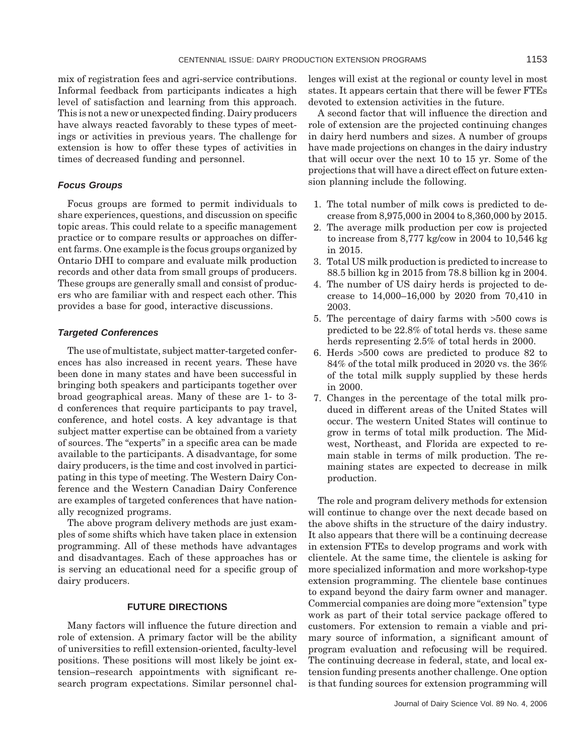mix of registration fees and agri-service contributions. Informal feedback from participants indicates a high level of satisfaction and learning from this approach. This is not a new or unexpected finding. Dairy producers have always reacted favorably to these types of meetings or activities in previous years. The challenge for extension is how to offer these types of activities in times of decreased funding and personnel.

#### *Focus Groups*

Focus groups are formed to permit individuals to share experiences, questions, and discussion on specific topic areas. This could relate to a specific management practice or to compare results or approaches on different farms. One example is the focus groups organized by Ontario DHI to compare and evaluate milk production records and other data from small groups of producers. These groups are generally small and consist of producers who are familiar with and respect each other. This provides a base for good, interactive discussions.

## *Targeted Conferences*

The use of multistate, subject matter-targeted conferences has also increased in recent years. These have been done in many states and have been successful in bringing both speakers and participants together over broad geographical areas. Many of these are 1- to 3 d conferences that require participants to pay travel, conference, and hotel costs. A key advantage is that subject matter expertise can be obtained from a variety of sources. The "experts" in a specific area can be made available to the participants. A disadvantage, for some dairy producers, is the time and cost involved in participating in this type of meeting. The Western Dairy Conference and the Western Canadian Dairy Conference are examples of targeted conferences that have nationally recognized programs.

The above program delivery methods are just examples of some shifts which have taken place in extension programming. All of these methods have advantages and disadvantages. Each of these approaches has or is serving an educational need for a specific group of dairy producers.

# **FUTURE DIRECTIONS**

Many factors will influence the future direction and role of extension. A primary factor will be the ability of universities to refill extension-oriented, faculty-level positions. These positions will most likely be joint extension–research appointments with significant research program expectations. Similar personnel challenges will exist at the regional or county level in most states. It appears certain that there will be fewer FTEs devoted to extension activities in the future.

A second factor that will influence the direction and role of extension are the projected continuing changes in dairy herd numbers and sizes. A number of groups have made projections on changes in the dairy industry that will occur over the next 10 to 15 yr. Some of the projections that will have a direct effect on future extension planning include the following.

- 1. The total number of milk cows is predicted to decrease from 8,975,000 in 2004 to 8,360,000 by 2015.
- 2. The average milk production per cow is projected to increase from 8,777 kg/cow in 2004 to 10,546 kg in 2015.
- 3. Total US milk production is predicted to increase to 88.5 billion kg in 2015 from 78.8 billion kg in 2004.
- 4. The number of US dairy herds is projected to decrease to 14,000–16,000 by 2020 from 70,410 in 2003.
- 5. The percentage of dairy farms with >500 cows is predicted to be 22.8% of total herds vs. these same herds representing 2.5% of total herds in 2000.
- 6. Herds >500 cows are predicted to produce 82 to 84% of the total milk produced in 2020 vs. the 36% of the total milk supply supplied by these herds in 2000.
- 7. Changes in the percentage of the total milk produced in different areas of the United States will occur. The western United States will continue to grow in terms of total milk production. The Midwest, Northeast, and Florida are expected to remain stable in terms of milk production. The remaining states are expected to decrease in milk production.

The role and program delivery methods for extension will continue to change over the next decade based on the above shifts in the structure of the dairy industry. It also appears that there will be a continuing decrease in extension FTEs to develop programs and work with clientele. At the same time, the clientele is asking for more specialized information and more workshop-type extension programming. The clientele base continues to expand beyond the dairy farm owner and manager. Commercial companies are doing more "extension" type work as part of their total service package offered to customers. For extension to remain a viable and primary source of information, a significant amount of program evaluation and refocusing will be required. The continuing decrease in federal, state, and local extension funding presents another challenge. One option is that funding sources for extension programming will